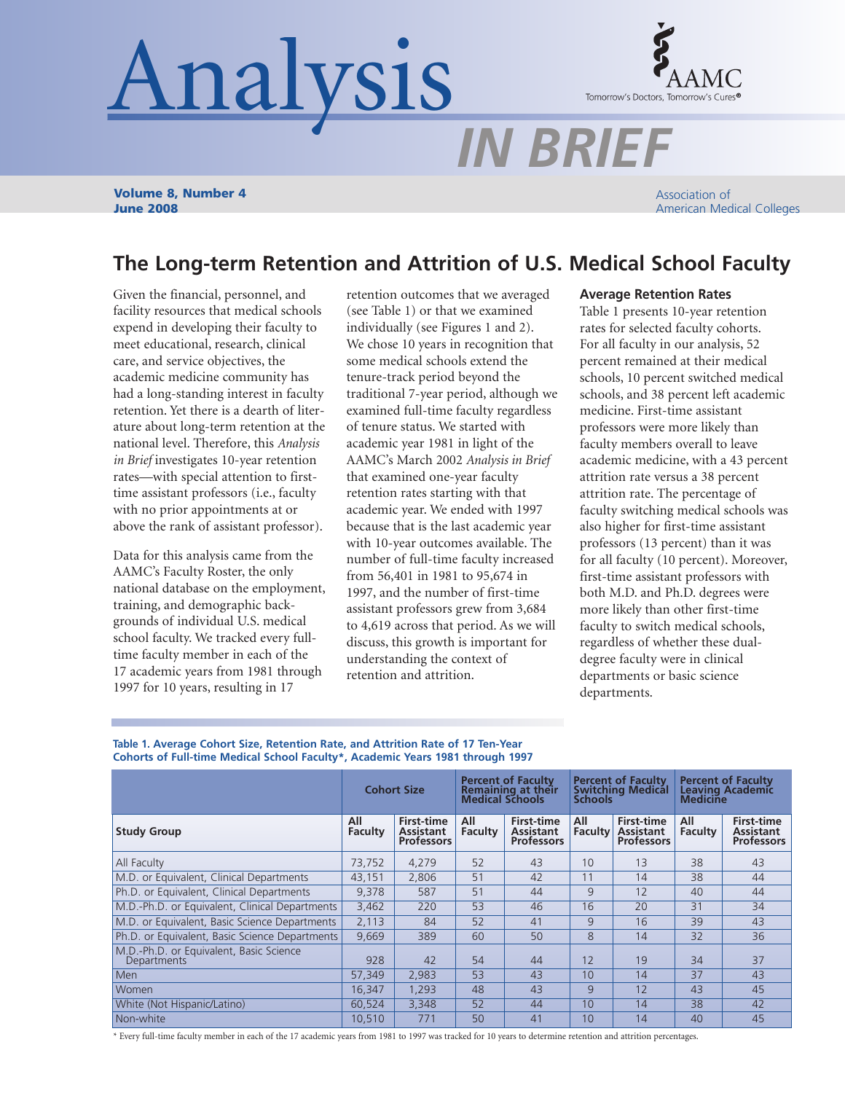# Analysis



*IN BRIEF*

**Volume 8, Number 4 June 2008**

Association of American Medical Colleges

# **The Long-term Retention and Attrition of U.S. Medical School Faculty**

Given the financial, personnel, and facility resources that medical schools expend in developing their faculty to meet educational, research, clinical care, and service objectives, the academic medicine community has had a long-standing interest in faculty retention. Yet there is a dearth of literature about long-term retention at the national level. Therefore, this *Analysis in Brief* investigates 10-year retention rates—with special attention to firsttime assistant professors (i.e., faculty with no prior appointments at or above the rank of assistant professor).

Data for this analysis came from the AAMC's Faculty Roster, the only national database on the employment, training, and demographic backgrounds of individual U.S. medical school faculty. We tracked every fulltime faculty member in each of the 17 academic years from 1981 through 1997 for 10 years, resulting in 17

retention outcomes that we averaged (see Table 1) or that we examined individually (see Figures 1 and 2). We chose 10 years in recognition that some medical schools extend the tenure-track period beyond the traditional 7-year period, although we examined full-time faculty regardless of tenure status. We started with academic year 1981 in light of the AAMC's March 2002 *Analysis in Brief* that examined one-year faculty retention rates starting with that academic year. We ended with 1997 because that is the last academic year with 10-year outcomes available. The number of full-time faculty increased from 56,401 in 1981 to 95,674 in 1997, and the number of first-time assistant professors grew from 3,684 to 4,619 across that period. As we will discuss, this growth is important for understanding the context of retention and attrition.

# **Average Retention Rates**

Table 1 presents 10-year retention rates for selected faculty cohorts. For all faculty in our analysis, 52 percent remained at their medical schools, 10 percent switched medical schools, and 38 percent left academic medicine. First-time assistant professors were more likely than faculty members overall to leave academic medicine, with a 43 percent attrition rate versus a 38 percent attrition rate. The percentage of faculty switching medical schools was also higher for first-time assistant professors (13 percent) than it was for all faculty (10 percent). Moreover, first-time assistant professors with both M.D. and Ph.D. degrees were more likely than other first-time faculty to switch medical schools, regardless of whether these dualdegree faculty were in clinical departments or basic science departments.

**Table 1. Average Cohort Size, Retention Rate, and Attrition Rate of 17 Ten-Year Cohorts of Full-time Medical School Faculty\*, Academic Years 1981 through 1997**

|                                                        | <b>Cohort Size</b> |                                                            | <b>Percent of Faculty</b><br>Remaining at their<br><b>Medical Schools</b> |                                                            | <b>Percent of Faculty</b><br><b>Switching Medical</b><br><b>Schools</b> |                                                            | <b>Percent of Faculty</b><br><b>Leaving Academic</b><br><b>Medicine</b> |                                                     |
|--------------------------------------------------------|--------------------|------------------------------------------------------------|---------------------------------------------------------------------------|------------------------------------------------------------|-------------------------------------------------------------------------|------------------------------------------------------------|-------------------------------------------------------------------------|-----------------------------------------------------|
| <b>Study Group</b>                                     | All<br>Faculty     | <b>First-time</b><br><b>Assistant</b><br><b>Professors</b> | All<br><b>Faculty</b>                                                     | <b>First-time</b><br><b>Assistant</b><br><b>Professors</b> | All<br><b>Faculty</b>                                                   | <b>First-time</b><br><b>Assistant</b><br><b>Professors</b> | All<br><b>Faculty</b>                                                   | <b>First-time</b><br>Assistant<br><b>Professors</b> |
| All Faculty                                            | 73,752             | 4,279                                                      | 52                                                                        | 43                                                         | 10                                                                      | 13                                                         | 38                                                                      | 43                                                  |
| M.D. or Equivalent, Clinical Departments               | 43,151             | 2,806                                                      | 51                                                                        | 42                                                         | 11                                                                      | 14                                                         | 38                                                                      | 44                                                  |
| Ph.D. or Equivalent, Clinical Departments              | 9,378              | 587                                                        | 51                                                                        | 44                                                         | 9                                                                       | 12                                                         | 40                                                                      | 44                                                  |
| M.D.-Ph.D. or Equivalent, Clinical Departments         | 3,462              | 220                                                        | 53                                                                        | 46                                                         | 16                                                                      | 20                                                         | 31                                                                      | 34                                                  |
| M.D. or Equivalent, Basic Science Departments          | 2,113              | 84                                                         | 52                                                                        | 41                                                         | $\mathsf{Q}$                                                            | 16                                                         | 39                                                                      | 43                                                  |
| Ph.D. or Equivalent, Basic Science Departments         | 9,669              | 389                                                        | 60                                                                        | 50                                                         | 8                                                                       | 14                                                         | 32                                                                      | 36                                                  |
| M.D.-Ph.D. or Equivalent, Basic Science<br>Departments | 928                | 42                                                         | 54                                                                        | 44                                                         | 12                                                                      | 19                                                         | 34                                                                      | 37                                                  |
| Men                                                    | 57,349             | 2,983                                                      | 53                                                                        | 43                                                         | 10                                                                      | 14                                                         | 37                                                                      | 43                                                  |
| Women                                                  | 16,347             | 1.293                                                      | 48                                                                        | 43                                                         | $\mathsf{Q}$                                                            | 12                                                         | 43                                                                      | 45                                                  |
| White (Not Hispanic/Latino)                            | 60,524             | 3,348                                                      | 52                                                                        | 44                                                         | 10                                                                      | 14                                                         | 38                                                                      | 42                                                  |
| Non-white                                              | 10,510             | 771                                                        | 50                                                                        | 41                                                         | 10                                                                      | 14                                                         | 40                                                                      | 45                                                  |

\* Every full-time faculty member in each of the 17 academic years from 1981 to 1997 was tracked for 10 years to determine retention and attrition percentages.